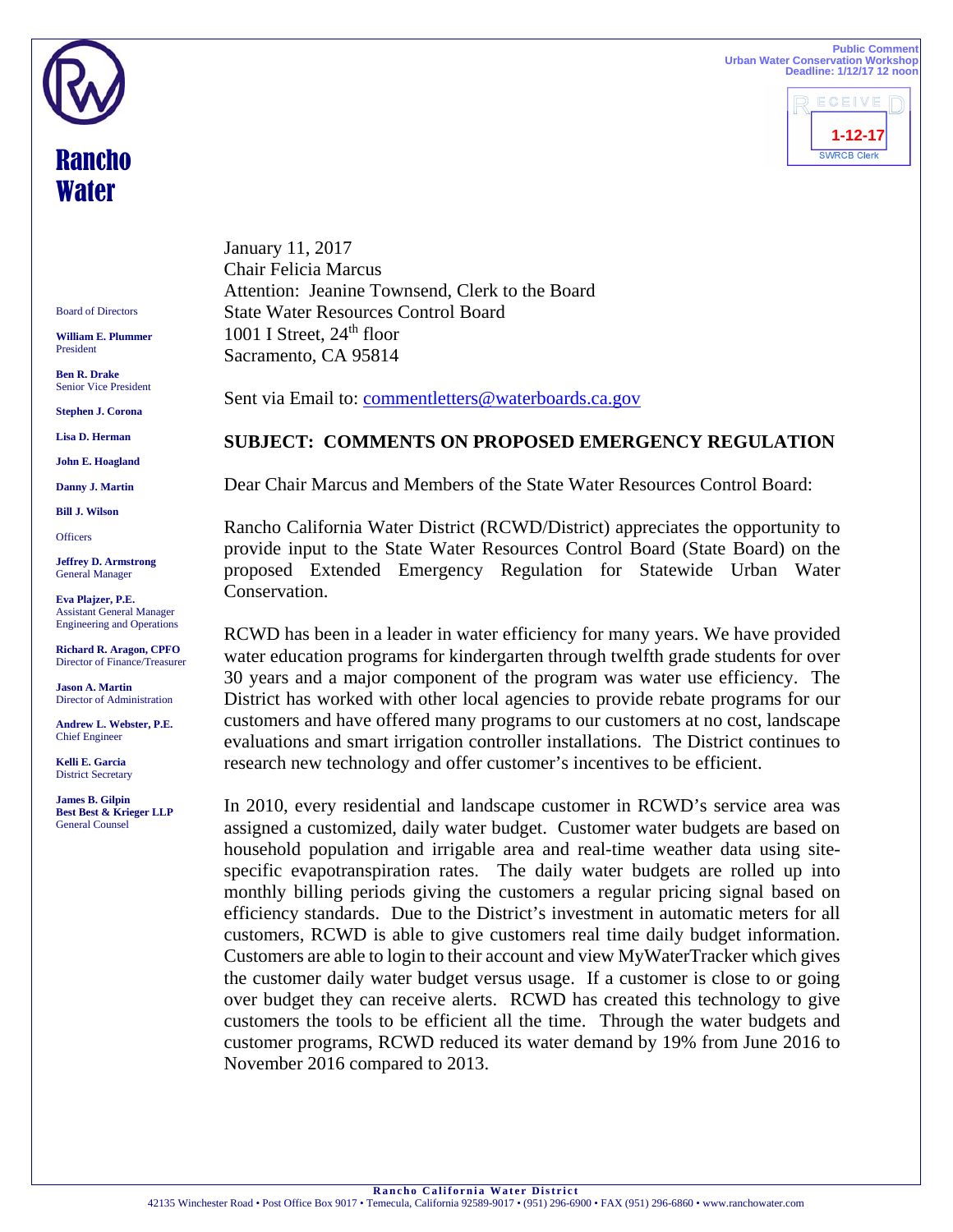**Public Comment Urban Water Conservation Workshop Deadline: 1/12/17 12 noon**



Board of Directors

Rancho **Water** 

**William E. Plummer**  President

**Ben R. Drake**  Senior Vice President

**Stephen J. Corona** 

**Lisa D. Herman** 

**John E. Hoagland** 

**Danny J. Martin** 

**Bill J. Wilson** 

**Officers** 

**Jeffrey D. Armstrong** General Manager

**Eva Plajzer, P.E.**  Assistant General Manager Engineering and Operations

**Richard R. Aragon, CPFO**  Director of Finance/Treasurer

**Jason A. Martin**  Director of Administration

**Andrew L. Webster, P.E.**  Chief Engineer

**Kelli E. Garcia**  District Secretary

**James B. Gilpin Best Best & Krieger LLP**  General Counsel

January 11, 2017 Chair Felicia Marcus Attention: Jeanine Townsend, Clerk to the Board State Water Resources Control Board 1001 I Street,  $24<sup>th</sup>$  floor Sacramento, CA 95814

Sent via Email to: commentletters@waterboards.ca.gov

## **SUBJECT: COMMENTS ON PROPOSED EMERGENCY REGULATION**

Dear Chair Marcus and Members of the State Water Resources Control Board:

Rancho California Water District (RCWD/District) appreciates the opportunity to provide input to the State Water Resources Control Board (State Board) on the proposed Extended Emergency Regulation for Statewide Urban Water Conservation.

RCWD has been in a leader in water efficiency for many years. We have provided water education programs for kindergarten through twelfth grade students for over 30 years and a major component of the program was water use efficiency. The District has worked with other local agencies to provide rebate programs for our customers and have offered many programs to our customers at no cost, landscape evaluations and smart irrigation controller installations. The District continues to research new technology and offer customer's incentives to be efficient.

In 2010, every residential and landscape customer in RCWD's service area was assigned a customized, daily water budget. Customer water budgets are based on household population and irrigable area and real-time weather data using sitespecific evapotranspiration rates. The daily water budgets are rolled up into monthly billing periods giving the customers a regular pricing signal based on efficiency standards. Due to the District's investment in automatic meters for all customers, RCWD is able to give customers real time daily budget information. Customers are able to login to their account and view MyWaterTracker which gives the customer daily water budget versus usage. If a customer is close to or going over budget they can receive alerts. RCWD has created this technology to give customers the tools to be efficient all the time. Through the water budgets and customer programs, RCWD reduced its water demand by 19% from June 2016 to November 2016 compared to 2013.